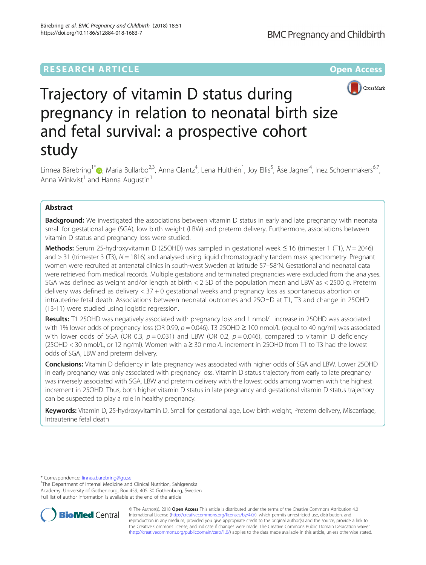# **RESEARCH ARTICLE External Structure Community Community Community Community Community Community Community Community**



# Trajectory of vitamin D status during pregnancy in relation to neonatal birth size and fetal survival: a prospective cohort study

Linnea Bärebring<sup>1[\\*](http://orcid.org/0000-0002-1612-1697)</sup>®, Maria Bullarbo<sup>2,3</sup>, Anna Glantz<sup>4</sup>, Lena Hulthén<sup>1</sup>, Joy Ellis<sup>5</sup>, Åse Jagner<sup>4</sup>, Inez Schoenmakers<sup>6,7</sup>, Anna Winkvist<sup>1</sup> and Hanna Augustin<sup>1</sup>

# Abstract

**Background:** We investigated the associations between vitamin D status in early and late pregnancy with neonatal small for gestational age (SGA), low birth weight (LBW) and preterm delivery. Furthermore, associations between vitamin D status and pregnancy loss were studied.

Methods: Serum 25-hydroxyvitamin D (25OHD) was sampled in gestational week  $\leq$  16 (trimester 1 (T1), N = 2046) and  $>$  31 (trimester 3 (T3),  $N = 1816$ ) and analysed using liquid chromatography tandem mass spectrometry. Pregnant women were recruited at antenatal clinics in south-west Sweden at latitude 57–58°N. Gestational and neonatal data were retrieved from medical records. Multiple gestations and terminated pregnancies were excluded from the analyses. SGA was defined as weight and/or length at birth < 2 SD of the population mean and LBW as < 2500 g. Preterm delivery was defined as delivery < 37 + 0 gestational weeks and pregnancy loss as spontaneous abortion or intrauterine fetal death. Associations between neonatal outcomes and 25OHD at T1, T3 and change in 25OHD (T3-T1) were studied using logistic regression.

Results: T1 25OHD was negatively associated with pregnancy loss and 1 nmol/L increase in 25OHD was associated with 1% lower odds of pregnancy loss (OR 0.99,  $p = 0.046$ ). T3 25OHD  $\geq$  100 nmol/L (equal to 40 ng/ml) was associated with lower odds of SGA (OR 0.3,  $p = 0.031$ ) and LBW (OR 0.2,  $p = 0.046$ ), compared to vitamin D deficiency (25OHD < 30 nmol/L, or 12 ng/ml). Women with a ≥ 30 nmol/L increment in 25OHD from T1 to T3 had the lowest odds of SGA, LBW and preterm delivery.

Conclusions: Vitamin D deficiency in late pregnancy was associated with higher odds of SGA and LBW. Lower 25OHD in early pregnancy was only associated with pregnancy loss. Vitamin D status trajectory from early to late pregnancy was inversely associated with SGA, LBW and preterm delivery with the lowest odds among women with the highest increment in 25OHD. Thus, both higher vitamin D status in late pregnancy and gestational vitamin D status trajectory can be suspected to play a role in healthy pregnancy.

Keywords: Vitamin D, 25-hydroxyvitamin D, Small for gestational age, Low birth weight, Preterm delivery, Miscarriage, Intrauterine fetal death

\* Correspondence: [linnea.barebring@gu.se](mailto:linnea.barebring@gu.se) <sup>1</sup>

<sup>1</sup>The Department of Internal Medicine and Clinical Nutrition, Sahlgrenska Academy, University of Gothenburg, Box 459, 405 30 Gothenburg, Sweden Full list of author information is available at the end of the article



© The Author(s). 2018 Open Access This article is distributed under the terms of the Creative Commons Attribution 4.0 International License [\(http://creativecommons.org/licenses/by/4.0/](http://creativecommons.org/licenses/by/4.0/)), which permits unrestricted use, distribution, and reproduction in any medium, provided you give appropriate credit to the original author(s) and the source, provide a link to the Creative Commons license, and indicate if changes were made. The Creative Commons Public Domain Dedication waiver [\(http://creativecommons.org/publicdomain/zero/1.0/](http://creativecommons.org/publicdomain/zero/1.0/)) applies to the data made available in this article, unless otherwise stated.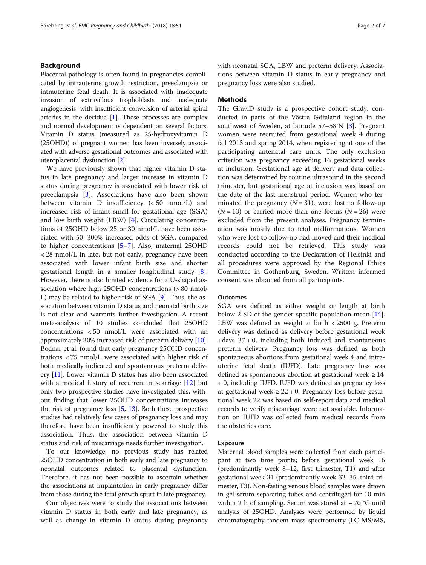# Background

Placental pathology is often found in pregnancies complicated by intrauterine growth restriction, preeclampsia or intrauterine fetal death. It is associated with inadequate invasion of extravillous trophoblasts and inadequate angiogenesis, with insufficient conversion of arterial spiral arteries in the decidua [[1](#page-6-0)]. These processes are complex and normal development is dependent on several factors. Vitamin D status (measured as 25-hydroxyvitamin D (25OHD)) of pregnant women has been inversely associated with adverse gestational outcomes and associated with uteroplacental dysfunction [\[2\]](#page-6-0).

We have previously shown that higher vitamin D status in late pregnancy and larger increase in vitamin D status during pregnancy is associated with lower risk of preeclampsia [\[3](#page-6-0)]. Associations have also been shown between vitamin D insufficiency (< 50 nmol/L) and increased risk of infant small for gestational age (SGA) and low birth weight (LBW) [\[4](#page-6-0)]. Circulating concentrations of 25OHD below 25 or 30 nmol/L have been associated with 50–300% increased odds of SGA, compared to higher concentrations [[5](#page-6-0)–[7](#page-6-0)]. Also, maternal 25OHD < 28 nmol/L in late, but not early, pregnancy have been associated with lower infant birth size and shorter gestational length in a smaller longitudinal study [\[8](#page-6-0)]. However, there is also limited evidence for a U-shaped association where high 25OHD concentrations (> 80 nmol/ L) may be related to higher risk of SGA [\[9\]](#page-6-0). Thus, the association between vitamin D status and neonatal birth size is not clear and warrants further investigation. A recent meta-analysis of 10 studies concluded that 25OHD concentrations < 50 nmol/L were associated with an approximately 30% increased risk of preterm delivery [[10](#page-6-0)]. Bodnar et al. found that early pregnancy 25OHD concentrations < 75 nmol/L were associated with higher risk of both medically indicated and spontaneous preterm delivery [\[11\]](#page-6-0). Lower vitamin D status has also been associated with a medical history of recurrent miscarriage [\[12\]](#page-6-0) but only two prospective studies have investigated this, without finding that lower 25OHD concentrations increases the risk of pregnancy loss [\[5,](#page-6-0) [13](#page-6-0)]. Both these prospective studies had relatively few cases of pregnancy loss and may therefore have been insufficiently powered to study this association. Thus, the association between vitamin D status and risk of miscarriage needs further investigation.

To our knowledge, no previous study has related 25OHD concentration in both early and late pregnancy to neonatal outcomes related to placental dysfunction. Therefore, it has not been possible to ascertain whether the associations at implantation in early pregnancy differ from those during the fetal growth spurt in late pregnancy.

Our objectives were to study the associations between vitamin D status in both early and late pregnancy, as well as change in vitamin D status during pregnancy with neonatal SGA, LBW and preterm delivery. Associations between vitamin D status in early pregnancy and pregnancy loss were also studied.

# **Methods**

The GraviD study is a prospective cohort study, conducted in parts of the Västra Götaland region in the southwest of Sweden, at latitude 57–58°N [[3\]](#page-6-0). Pregnant women were recruited from gestational week 4 during fall 2013 and spring 2014, when registering at one of the participating antenatal care units. The only exclusion criterion was pregnancy exceeding 16 gestational weeks at inclusion. Gestational age at delivery and data collection was determined by routine ultrasound in the second trimester, but gestational age at inclusion was based on the date of the last menstrual period. Women who terminated the pregnancy  $(N = 31)$ , were lost to follow-up  $(N = 13)$  or carried more than one foetus  $(N = 26)$  were excluded from the present analyses. Pregnancy termination was mostly due to fetal malformations. Women who were lost to follow-up had moved and their medical records could not be retrieved. This study was conducted according to the Declaration of Helsinki and all procedures were approved by the Regional Ethics Committee in Gothenburg, Sweden. Written informed consent was obtained from all participants.

#### **Outcomes**

SGA was defined as either weight or length at birth below 2 SD of the gender-specific population mean [\[14](#page-6-0)]. LBW was defined as weight at birth < 2500 g. Preterm delivery was defined as delivery before gestational week  $+days$  37 + 0, including both induced and spontaneous preterm delivery. Pregnancy loss was defined as both spontaneous abortions from gestational week 4 and intrauterine fetal death (IUFD). Late pregnancy loss was defined as spontaneous abortion at gestational week  $\geq 14$ + 0, including IUFD. IUFD was defined as pregnancy loss at gestational week  $\geq 22 + 0$ . Pregnancy loss before gestational week 22 was based on self-report data and medical records to verify miscarriage were not available. Information on IUFD was collected from medical records from the obstetrics care.

# Exposure

Maternal blood samples were collected from each participant at two time points; before gestational week 16 (predominantly week 8–12, first trimester, T1) and after gestational week 31 (predominantly week 32–35, third trimester, T3). Non-fasting venous blood samples were drawn in gel serum separating tubes and centrifuged for 10 min within 2 h of sampling. Serum was stored at − 70 °C until analysis of 25OHD. Analyses were performed by liquid chromatography tandem mass spectrometry (LC-MS/MS,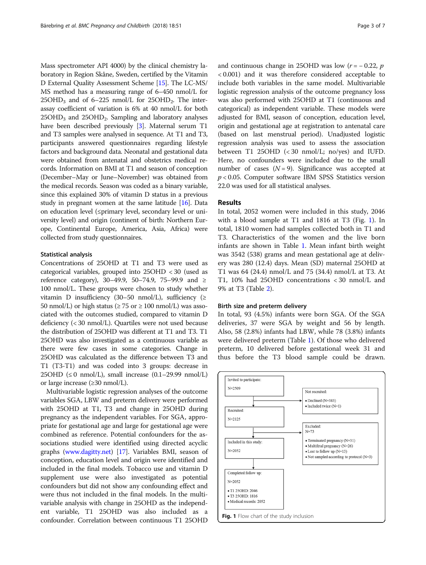Mass spectrometer API 4000) by the clinical chemistry laboratory in Region Skåne, Sweden, certified by the Vitamin D External Quality Assessment Scheme [\[15\]](#page-6-0). The LC-MS/ MS method has a measuring range of 6–450 nmol/L for  $25OHD<sub>3</sub>$  and of 6–225 nmol/L for 25OHD<sub>2</sub>. The interassay coefficient of variation is 6% at 40 nmol/L for both  $25OHD<sub>3</sub>$  and  $25OHD<sub>2</sub>$ . Sampling and laboratory analyses have been described previously [\[3\]](#page-6-0). Maternal serum T1 and T3 samples were analysed in sequence. At T1 and T3, participants answered questionnaires regarding lifestyle factors and background data. Neonatal and gestational data were obtained from antenatal and obstetrics medical records. Information on BMI at T1 and season of conception (December–May or June–November) was obtained from the medical records. Season was coded as a binary variable, since this explained 30% of vitamin D status in a previous study in pregnant women at the same latitude [\[16\]](#page-6-0). Data on education level (≤primary level, secondary level or university level) and origin (continent of birth: Northern Europe, Continental Europe, America, Asia, Africa) were collected from study questionnaires.

# Statistical analysis

Concentrations of 25OHD at T1 and T3 were used as categorical variables, grouped into 25OHD < 30 (used as reference category), 30–49.9, 50–74.9, 75–99.9 and ≥ 100 nmol/L. These groups were chosen to study whether vitamin D insufficiency (30–50 nmol/L), sufficiency ( $\ge$ 50 nmol/L) or high status ( $\geq$  75 or  $\geq$  100 nmol/L) was associated with the outcomes studied, compared to vitamin D deficiency (< 30 nmol/L). Quartiles were not used because the distribution of 25OHD was different at T1 and T3. T1 25OHD was also investigated as a continuous variable as there were few cases in some categories. Change in 25OHD was calculated as the difference between T3 and T1 (T3-T1) and was coded into 3 groups: decrease in 25OHD ( $\leq 0$  nmol/L), small increase (0.1–29.99 nmol/L) or large increase (≥30 nmol/L).

Multivariable logistic regression analyses of the outcome variables SGA, LBW and preterm delivery were performed with 25OHD at T1, T3 and change in 25OHD during pregnancy as the independent variables. For SGA, appropriate for gestational age and large for gestational age were combined as reference. Potential confounders for the associations studied were identified using directed acyclic graphs [\(www.dagitty.net](http://www.dagitty.net)) [\[17\]](#page-6-0). Variables BMI, season of conception, education level and origin were identified and included in the final models. Tobacco use and vitamin D supplement use were also investigated as potential confounders but did not show any confounding effect and were thus not included in the final models. In the multivariable analysis with change in 25OHD as the independent variable, T1 25OHD was also included as a confounder. Correlation between continuous T1 25OHD

and continuous change in 25OHD was low  $(r = -0.22, p$ < 0.001) and it was therefore considered acceptable to include both variables in the same model. Multivariable logistic regression analysis of the outcome pregnancy loss was also performed with 25OHD at T1 (continuous and categorical) as independent variable. These models were adjusted for BMI, season of conception, education level, origin and gestational age at registration to antenatal care (based on last menstrual period). Unadjusted logistic regression analysis was used to assess the association between T1 25OHD (< 30 nmol/L; no/yes) and IUFD. Here, no confounders were included due to the small number of cases  $(N = 9)$ . Significance was accepted at  $p < 0.05$ . Computer software IBM SPSS Statistics version 22.0 was used for all statistical analyses.

# Results

In total, 2052 women were included in this study, 2046 with a blood sample at T1 and 1816 at T3 (Fig. 1). In total, 1810 women had samples collected both in T1 and T3. Characteristics of the women and the live born infants are shown in Table [1](#page-3-0). Mean infant birth weight was 3542 (538) grams and mean gestational age at delivery was 280 (12.4) days. Mean (SD) maternal 25OHD at T1 was 64 (24.4) nmol/L and 75 (34.4) nmol/L at T3. At T1, 10% had 25OHD concentrations < 30 nmol/L and 9% at T3 (Table [2\)](#page-3-0).

## Birth size and preterm delivery

In total, 93 (4.5%) infants were born SGA. Of the SGA deliveries, 37 were SGA by weight and 56 by length. Also, 58 (2.8%) infants had LBW, while 78 (3.8%) infants were delivered preterm (Table [1](#page-3-0)). Of those who delivered preterm, 10 delivered before gestational week 31 and thus before the T3 blood sample could be drawn.

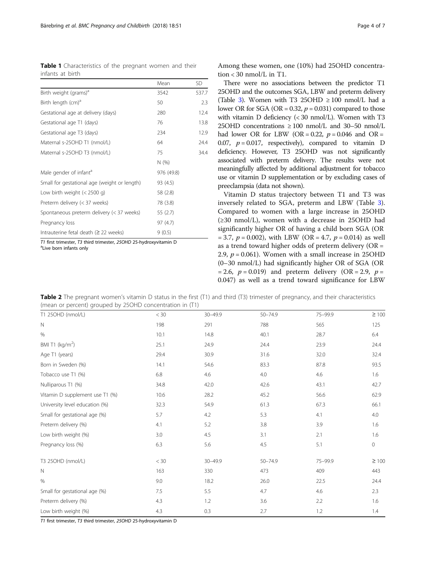<span id="page-3-0"></span>

| Table 1 Characteristics of the pregnant women and their |  |  |  |
|---------------------------------------------------------|--|--|--|
| infants at birth                                        |  |  |  |

|                                                                             | Mean       | SD.   |
|-----------------------------------------------------------------------------|------------|-------|
| Birth weight (grams) <sup>a</sup>                                           | 3542       | 537.7 |
| Birth length (cm) <sup>a</sup>                                              | 50         | 2.3   |
| Gestational age at delivery (days)                                          | 280        | 12.4  |
| Gestational age T1 (days)                                                   | 76         | 13.8  |
| Gestational age T3 (days)                                                   | 234        | 12.9  |
| Maternal s-25OHD T1 (nmol/L)                                                | 64         | 24.4  |
| Maternal s-25OHD T3 (nmol/L)                                                | 75         | 34.4  |
|                                                                             | N(% )      |       |
| Male gender of infant <sup>a</sup>                                          | 976 (49.8) |       |
| Small for gestational age (weight or length)                                | 93 (4.5)   |       |
| Low birth weight $(< 2500$ g)                                               | 58 (2.8)   |       |
| Preterm delivery (< 37 weeks)                                               | 78 (3.8)   |       |
| Spontaneous preterm delivery (< 37 weeks)                                   | 55(2.7)    |       |
| Pregnancy loss                                                              | 97 (4.7)   |       |
| Intrauterine fetal death $(222 \text{ weeks})$                              | 9(0.5)     |       |
| $T1$ first trimpeter. $T2$ third trimpeter. $2FOLD$ $2F$ hudromaritamin $D$ |            |       |

T1 first trimester, T3 third trimester, 25OHD 25-hydroxyvitamin D <sup>a</sup> Live born infants only

Among these women, one (10%) had 25OHD concentration < 30 nmol/L in T1.

There were no associations between the predictor T1 25OHD and the outcomes SGA, LBW and preterm delivery (Table [3](#page-4-0)). Women with T3 25OHD  $\geq 100$  nmol/L had a lower OR for SGA (OR =  $0.32$ ,  $p = 0.031$ ) compared to those with vitamin D deficiency (< 30 nmol/L). Women with T3 25OHD concentrations  $\geq 100$  nmol/L and 30–50 nmol/L had lower OR for LBW (OR = 0.22,  $p = 0.046$  and OR = 0.07,  $p = 0.017$ , respectively), compared to vitamin D deficiency. However, T3 25OHD was not significantly associated with preterm delivery. The results were not meaningfully affected by additional adjustment for tobacco use or vitamin D supplementation or by excluding cases of preeclampsia (data not shown).

Vitamin D status trajectory between T1 and T3 was inversely related to SGA, preterm and LBW (Table [3](#page-4-0)). Compared to women with a large increase in 25OHD (≥30 nmol/L), women with a decrease in 25OHD had significantly higher OR of having a child born SGA (OR  $= 3.7, p = 0.002$ , with LBW (OR = 4.7,  $p = 0.014$ ) as well as a trend toward higher odds of preterm delivery (OR = 2.9,  $p = 0.061$ ). Women with a small increase in 25OHD (0–30 nmol/L) had significantly higher OR of SGA (OR  $= 2.6, p = 0.019$  and preterm delivery (OR = 2.9, p = 0.047) as well as a trend toward significance for LBW

**Table 2** The pregnant women's vitamin D status in the first (T1) and third (T3) trimester of pregnancy, and their characteristics (mean or percent) grouped by 25OHD concentration in (T1)

| $(11)$ can be percently grouped by zoon become internation in $(11)$ |        |             |             |         |            |
|----------------------------------------------------------------------|--------|-------------|-------------|---------|------------|
| T1 250HD (nmol/L)                                                    | $<$ 30 | $30 - 49.9$ | $50 - 74.9$ | 75-99.9 | $\geq 100$ |
| $\mathbb N$                                                          | 198    | 291         | 788         | 565     | 125        |
| $\%$                                                                 | 10.1   | 14.8        | 40.1        | 28.7    | 6.4        |
| BMI T1 $(kg/m2)$                                                     | 25.1   | 24.9        | 24.4        | 23.9    | 24.4       |
| Age T1 (years)                                                       | 29.4   | 30.9        | 31.6        | 32.0    | 32.4       |
| Born in Sweden (%)                                                   | 14.1   | 54.6        | 83.3        | 87.8    | 93.5       |
| Tobacco use T1 (%)                                                   | 6.8    | 4.6         | 4.0         | 4.6     | 1.6        |
| Nulliparous T1 (%)                                                   | 34.8   | 42.0        | 42.6        | 43.1    | 42.7       |
| Vitamin D supplement use T1 (%)                                      | 10.6   | 28.2        | 45.2        | 56.6    | 62.9       |
| University level education (%)                                       | 32.3   | 54.9        | 61.3        | 67.3    | 66.1       |
| Small for gestational age (%)                                        | 5.7    | 4.2         | 5.3         | 4.1     | 4.0        |
| Preterm delivery (%)                                                 | 4.1    | 5.2         | 3.8         | 3.9     | 1.6        |
| Low birth weight (%)                                                 | 3.0    | 4.5         | 3.1         | 2.1     | 1.6        |
| Pregnancy loss (%)                                                   | 6.3    | 5.6         | 4.5         | 5.1     | 0          |
| T3 250HD (nmol/L)                                                    | $<$ 30 | $30 - 49.9$ | 50-74.9     | 75-99.9 | $\geq 100$ |
| $\mathbb N$                                                          | 163    | 330         | 473         | 409     | 443        |
| %                                                                    | 9.0    | 18.2        | 26.0        | 22.5    | 24.4       |
| Small for gestational age (%)                                        | 7.5    | 5.5         | 4.7         | 4.6     | 2.3        |
| Preterm delivery (%)                                                 | 4.3    | 1.2         | 3.6         | 2.2     | 1.6        |
| Low birth weight (%)                                                 | 4.3    | 0.3         | 2.7         | 1.2     | 1.4        |

T1 first trimester, T3 third trimester, 25OHD 25-hydroxyvitamin D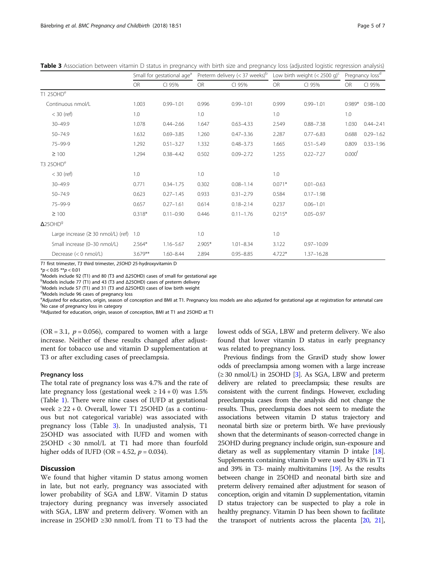|                                                     |           |               | Small for gestational age <sup>a</sup> Preterm delivery (< 37 weeks) <sup>b</sup> |               | Low birth weight $(< 2500 \text{ q})^c$ |                | Pregnancy loss <sup>d</sup> |               |
|-----------------------------------------------------|-----------|---------------|-----------------------------------------------------------------------------------|---------------|-----------------------------------------|----------------|-----------------------------|---------------|
|                                                     | OR        | CI 95%        | <b>OR</b>                                                                         | CI 95%        | <b>OR</b>                               | CI 95%         | <b>OR</b>                   | CI 95%        |
| T1 25OHD <sup>e</sup>                               |           |               |                                                                                   |               |                                         |                |                             |               |
| Continuous nmol/L                                   | 1.003     | $0.99 - 1.01$ | 0.996                                                                             | $0.99 - 1.01$ | 0.999                                   | $0.99 - 1.01$  | $0.989*$                    | $0.98 - 1.00$ |
| $<$ 30 (ref)                                        | 1.0       |               | 1.0                                                                               |               | 1.0                                     |                | 1.0                         |               |
| $30 - 49.9$                                         | 1.078     | $0.44 - 2.66$ | 1.647                                                                             | $0.63 - 4.33$ | 2.549                                   | $0.88 - 7.38$  | 1.030                       | $0.44 - 2.41$ |
| $50 - 74.9$                                         | 1.632     | $0.69 - 3.85$ | 1.260                                                                             | $0.47 - 3.36$ | 2.287                                   | $0.77 - 6.83$  | 0.688                       | $0.29 - 1.62$ |
| $75 - 99 - 9$                                       | 1.292     | $0.51 - 3.27$ | 1.332                                                                             | $0.48 - 3.73$ | 1.665                                   | $0.51 - 5.49$  | 0.809                       | $0.33 - 1.96$ |
| $\geq 100$                                          | 1.294     | $0.38 - 4.42$ | 0.502                                                                             | $0.09 - 2.72$ | 1.255                                   | $0.22 - 7.27$  | 0.000 <sup>†</sup>          |               |
| T3 25OHD <sup>e</sup>                               |           |               |                                                                                   |               |                                         |                |                             |               |
| $<$ 30 (ref)                                        | 1.0       |               | 1.0                                                                               |               | 1.0                                     |                |                             |               |
| $30 - 49.9$                                         | 0.771     | $0.34 - 1.75$ | 0.302                                                                             | $0.08 - 1.14$ | $0.071*$                                | $0.01 - 0.63$  |                             |               |
| $50 - 74.9$                                         | 0.623     | $0.27 - 1.45$ | 0.933                                                                             | $0.31 - 2.79$ | 0.584                                   | $0.17 - 1.98$  |                             |               |
| $75 - 99 - 9$                                       | 0.657     | $0.27 - 1.61$ | 0.614                                                                             | $0.18 - 2.14$ | 0.237                                   | $0.06 - 1.01$  |                             |               |
| $\geq 100$                                          | $0.318*$  | $0.11 - 0.90$ | 0.446                                                                             | $0.11 - 1.76$ | $0.215*$                                | $0.05 - 0.97$  |                             |               |
| $\Delta$ 250HD <sup>9</sup>                         |           |               |                                                                                   |               |                                         |                |                             |               |
| Large increase $(\geq 30 \text{ nmol/L})$ (ref) 1.0 |           |               | 1.0                                                                               |               | 1.0                                     |                |                             |               |
| Small increase (0-30 nmol/L)                        | $2.564*$  | $1.16 - 5.67$ | $2.905*$                                                                          | $1.01 - 8.34$ | 3.122                                   | $0.97 - 10.09$ |                             |               |
| Decrease $(< 0$ nmol/L)                             | $3.679**$ | $1.60 - 8.44$ | 2.894                                                                             | $0.95 - 8.85$ | $4.722*$                                | $1.37 - 16.28$ |                             |               |

<span id="page-4-0"></span>Table 3 Association between vitamin D status in pregnancy with birth size and pregnancy loss (adjusted logistic regression analysis)

T1 first trimester, T3 third trimester, 25OHD 25-hydroxyvitamin D

 $*<sub>p</sub> < 0.05$  \*\* $<sub>p</sub> < 0.01$ </sub>

<sup>a</sup>Models include 92 (T1) and 80 (T3 and Δ25OHD) cases of small for gestational age

b<sub>Models</sub> include 77 (T1) and 43 (T3 and Δ25OHD) cases of preterm delivery

<sup>c</sup>Models include 57 (T1) and 31 (T3 and Δ25OHD) cases of low birth weight

Models include 96 cases of pregnancy loss

e Adjusted for education, origin, season of conception and BMI at T1. Pregnancy loss models are also adjusted for gestational age at registration for antenatal care<br>[No case of pregnancy loss in category No case of pregnancy loss in category

<sup>g</sup>Adjusted for education, origin, season of conception, BMI at T1 and 25OHD at T1

(OR = 3.1,  $p = 0.056$ ), compared to women with a large increase. Neither of these results changed after adjustment for tobacco use and vitamin D supplementation at T3 or after excluding cases of preeclampsia.

## Pregnancy loss

The total rate of pregnancy loss was 4.7% and the rate of late pregnancy loss (gestational week  $\geq 14 + 0$ ) was 1.5% (Table [1\)](#page-3-0). There were nine cases of IUFD at gestational week  $\geq 22 + 0$ . Overall, lower T1 25OHD (as a continuous but not categorical variable) was associated with pregnancy loss (Table 3). In unadjusted analysis, T1 25OHD was associated with IUFD and women with 25OHD < 30 nmol/L at T1 had more than fourfold higher odds of IUFD (OR = 4.52,  $p = 0.034$ ).

# **Discussion**

We found that higher vitamin D status among women in late, but not early, pregnancy was associated with lower probability of SGA and LBW. Vitamin D status trajectory during pregnancy was inversely associated with SGA, LBW and preterm delivery. Women with an increase in 25OHD ≥30 nmol/L from T1 to T3 had the lowest odds of SGA, LBW and preterm delivery. We also found that lower vitamin D status in early pregnancy was related to pregnancy loss.

Previous findings from the GraviD study show lower odds of preeclampsia among women with a large increase  $(\geq 30 \text{ nmol/L})$  $(\geq 30 \text{ nmol/L})$  $(\geq 30 \text{ nmol/L})$  in 25OHD [3]. As SGA, LBW and preterm delivery are related to preeclampsia; these results are consistent with the current findings. However, excluding preeclampsia cases from the analysis did not change the results. Thus, preeclampsia does not seem to mediate the associations between vitamin D status trajectory and neonatal birth size or preterm birth. We have previously shown that the determinants of season-corrected change in 25OHD during pregnancy include origin, sun-exposure and dietary as well as supplementary vitamin D intake [\[18](#page-6-0)]. Supplements containing vitamin D were used by 43% in T1 and 39% in T3- mainly multivitamins [\[19](#page-6-0)]. As the results between change in 25OHD and neonatal birth size and preterm delivery remained after adjustment for season of conception, origin and vitamin D supplementation, vitamin D status trajectory can be suspected to play a role in healthy pregnancy. Vitamin D has been shown to facilitate the transport of nutrients across the placenta [\[20](#page-6-0), [21](#page-6-0)],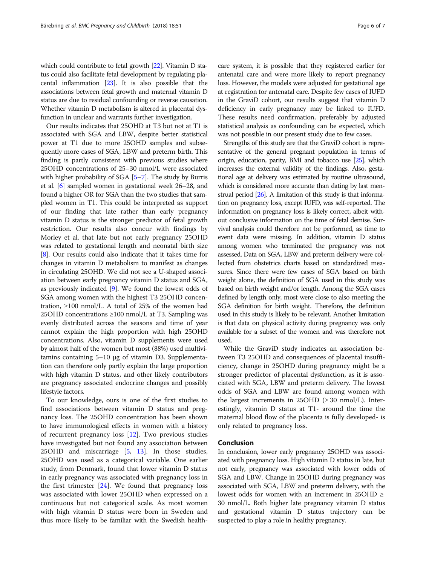which could contribute to fetal growth [[22\]](#page-6-0). Vitamin D status could also facilitate fetal development by regulating placental inflammation [\[23\]](#page-6-0). It is also possible that the associations between fetal growth and maternal vitamin D status are due to residual confounding or reverse causation. Whether vitamin D metabolism is altered in placental dysfunction in unclear and warrants further investigation.

Our results indicates that 25OHD at T3 but not at T1 is associated with SGA and LBW, despite better statistical power at T1 due to more 25OHD samples and subsequently more cases of SGA, LBW and preterm birth. This finding is partly consistent with previous studies where 25OHD concentrations of 25–30 nmol/L were associated with higher probability of SGA [\[5](#page-6-0)–[7\]](#page-6-0). The study by Burris et al. [\[6\]](#page-6-0) sampled women in gestational week 26–28, and found a higher OR for SGA than the two studies that sampled women in T1. This could be interpreted as support of our finding that late rather than early pregnancy vitamin D status is the stronger predictor of fetal growth restriction. Our results also concur with findings by Morley et al. that late but not early pregnancy 25OHD was related to gestational length and neonatal birth size [[8\]](#page-6-0). Our results could also indicate that it takes time for changes in vitamin D metabolism to manifest as changes in circulating 25OHD. We did not see a U-shaped association between early pregnancy vitamin D status and SGA, as previously indicated [\[9\]](#page-6-0). We found the lowest odds of SGA among women with the highest T3 25OHD concentration,  $\geq 100$  nmol/L. A total of 25% of the women had 25OHD concentrations  $\geq 100$  nmol/L at T3. Sampling was evenly distributed across the seasons and time of year cannot explain the high proportion with high 25OHD concentrations. Also, vitamin D supplements were used by almost half of the women but most (88%) used multivitamins containing 5–10 μg of vitamin D3. Supplementation can therefore only partly explain the large proportion with high vitamin D status, and other likely contributors are pregnancy associated endocrine changes and possibly lifestyle factors.

To our knowledge, ours is one of the first studies to find associations between vitamin D status and pregnancy loss. The 25OHD concentration has been shown to have immunological effects in women with a history of recurrent pregnancy loss [[12\]](#page-6-0). Two previous studies have investigated but not found any association between 25OHD and miscarriage [[5,](#page-6-0) [13](#page-6-0)]. In those studies, 25OHD was used as a categorical variable. One earlier study, from Denmark, found that lower vitamin D status in early pregnancy was associated with pregnancy loss in the first trimester [\[24\]](#page-6-0). We found that pregnancy loss was associated with lower 25OHD when expressed on a continuous but not categorical scale. As most women with high vitamin D status were born in Sweden and thus more likely to be familiar with the Swedish healthcare system, it is possible that they registered earlier for antenatal care and were more likely to report pregnancy loss. However, the models were adjusted for gestational age at registration for antenatal care. Despite few cases of IUFD in the GraviD cohort, our results suggest that vitamin D deficiency in early pregnancy may be linked to IUFD. These results need confirmation, preferably by adjusted statistical analysis as confounding can be expected, which was not possible in our present study due to few cases.

Strengths of this study are that the GraviD cohort is representative of the general pregnant population in terms of origin, education, parity, BMI and tobacco use [\[25](#page-6-0)], which increases the external validity of the findings. Also, gestational age at delivery was estimated by routine ultrasound, which is considered more accurate than dating by last menstrual period [[26](#page-6-0)]. A limitation of this study is that information on pregnancy loss, except IUFD, was self-reported. The information on pregnancy loss is likely correct, albeit without conclusive information on the time of fetal demise. Survival analysis could therefore not be performed, as time to event data were missing. In addition, vitamin D status among women who terminated the pregnancy was not assessed. Data on SGA, LBW and preterm delivery were collected from obstetrics charts based on standardized measures. Since there were few cases of SGA based on birth weight alone, the definition of SGA used in this study was based on birth weight and/or length. Among the SGA cases defined by length only, most were close to also meeting the SGA definition for birth weight. Therefore, the definition used in this study is likely to be relevant. Another limitation is that data on physical activity during pregnancy was only available for a subset of the women and was therefore not used.

While the GraviD study indicates an association between T3 25OHD and consequences of placental insufficiency, change in 25OHD during pregnancy might be a stronger predictor of placental dysfunction, as it is associated with SGA, LBW and preterm delivery. The lowest odds of SGA and LBW are found among women with the largest increments in 25OHD ( $\geq$  30 nmol/L). Interestingly, vitamin D status at T1- around the time the maternal blood flow of the placenta is fully developed- is only related to pregnancy loss.

# Conclusion

In conclusion, lower early pregnancy 25OHD was associated with pregnancy loss. High vitamin D status in late, but not early, pregnancy was associated with lower odds of SGA and LBW. Change in 25OHD during pregnancy was associated with SGA, LBW and preterm delivery, with the lowest odds for women with an increment in 25OHD  $\geq$ 30 nmol/L. Both higher late pregnancy vitamin D status and gestational vitamin D status trajectory can be suspected to play a role in healthy pregnancy.